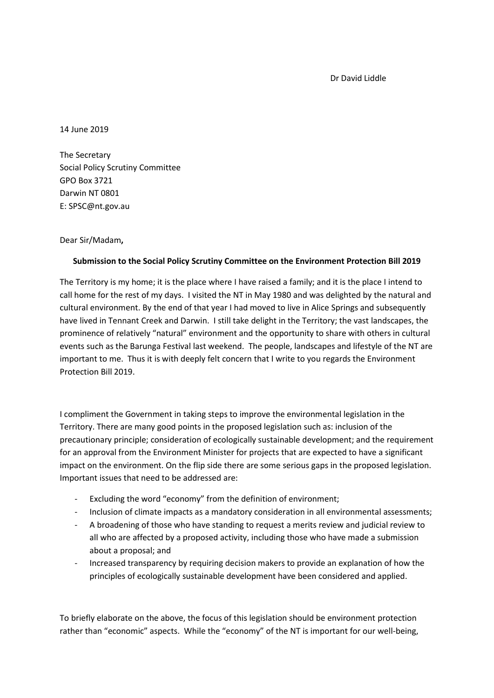Dr David Liddle

14 June 2019

The Secretary Social Policy Scrutiny Committee GPO Box 3721 Darwin NT 0801 E: SPSC@nt.gov.au

Dear Sir/Madam**,** 

## **Submission to the Social Policy Scrutiny Committee on the Environment Protection Bill 2019**

The Territory is my home; it is the place where I have raised a family; and it is the place I intend to call home for the rest of my days. I visited the NT in May 1980 and was delighted by the natural and cultural environment. By the end of that year I had moved to live in Alice Springs and subsequently have lived in Tennant Creek and Darwin. I still take delight in the Territory; the vast landscapes, the prominence of relatively "natural" environment and the opportunity to share with others in cultural events such as the Barunga Festival last weekend. The people, landscapes and lifestyle of the NT are important to me. Thus it is with deeply felt concern that I write to you regards the Environment Protection Bill 2019.

I compliment the Government in taking steps to improve the environmental legislation in the Territory. There are many good points in the proposed legislation such as: inclusion of the precautionary principle; consideration of ecologically sustainable development; and the requirement for an approval from the Environment Minister for projects that are expected to have a significant impact on the environment. On the flip side there are some serious gaps in the proposed legislation. Important issues that need to be addressed are:

- Excluding the word "economy" from the definition of environment;
- Inclusion of climate impacts as a mandatory consideration in all environmental assessments;
- A broadening of those who have standing to request a merits review and judicial review to all who are affected by a proposed activity, including those who have made a submission about a proposal; and
- Increased transparency by requiring decision makers to provide an explanation of how the principles of ecologically sustainable development have been considered and applied.

To briefly elaborate on the above, the focus of this legislation should be environment protection rather than "economic" aspects. While the "economy" of the NT is important for our well-being,